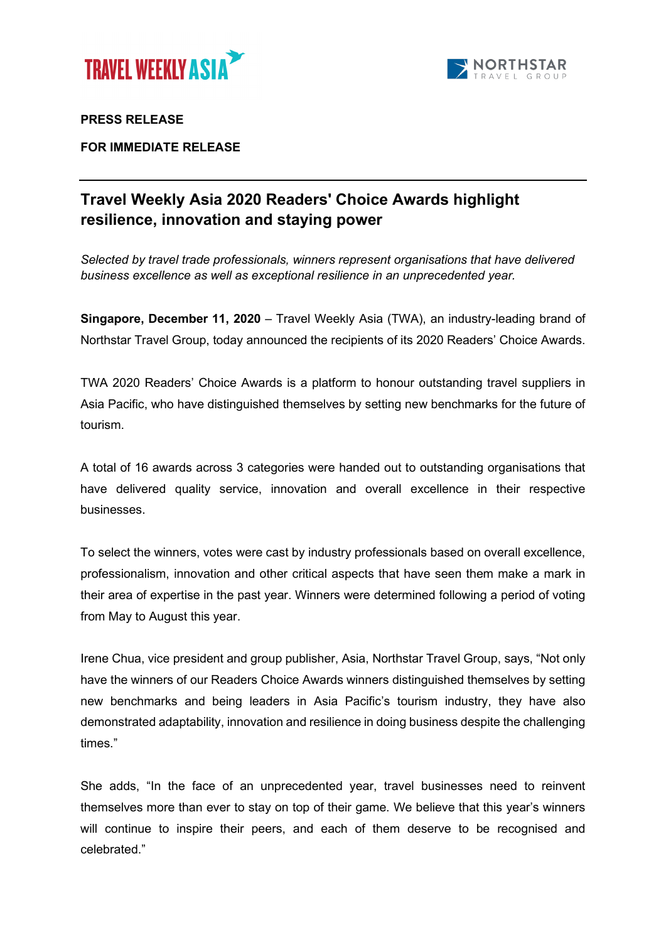



## **PRESS RELEASE**

**FOR IMMEDIATE RELEASE**

# **Travel Weekly Asia 2020 Readers' Choice Awards highlight resilience, innovation and staying power**

*Selected by travel trade professionals, winners represent organisations that have delivered business excellence as well as exceptional resilience in an unprecedented year.*

**Singapore, December 11, 2020** – Travel Weekly Asia (TWA), an industry-leading brand of Northstar Travel Group, today announced the recipients of its 2020 Readers' Choice Awards.

TWA 2020 Readers' Choice Awards is a platform to honour outstanding travel suppliers in Asia Pacific, who have distinguished themselves by setting new benchmarks for the future of tourism.

A total of 16 awards across 3 categories were handed out to outstanding organisations that have delivered quality service, innovation and overall excellence in their respective businesses.

To select the winners, votes were cast by industry professionals based on overall excellence, professionalism, innovation and other critical aspects that have seen them make a mark in their area of expertise in the past year. Winners were determined following a period of voting from May to August this year.

Irene Chua, vice president and group publisher, Asia, Northstar Travel Group, says, "Not only have the winners of our Readers Choice Awards winners distinguished themselves by setting new benchmarks and being leaders in Asia Pacific's tourism industry, they have also demonstrated adaptability, innovation and resilience in doing business despite the challenging times."

She adds, "In the face of an unprecedented year, travel businesses need to reinvent themselves more than ever to stay on top of their game. We believe that this year's winners will continue to inspire their peers, and each of them deserve to be recognised and celebrated."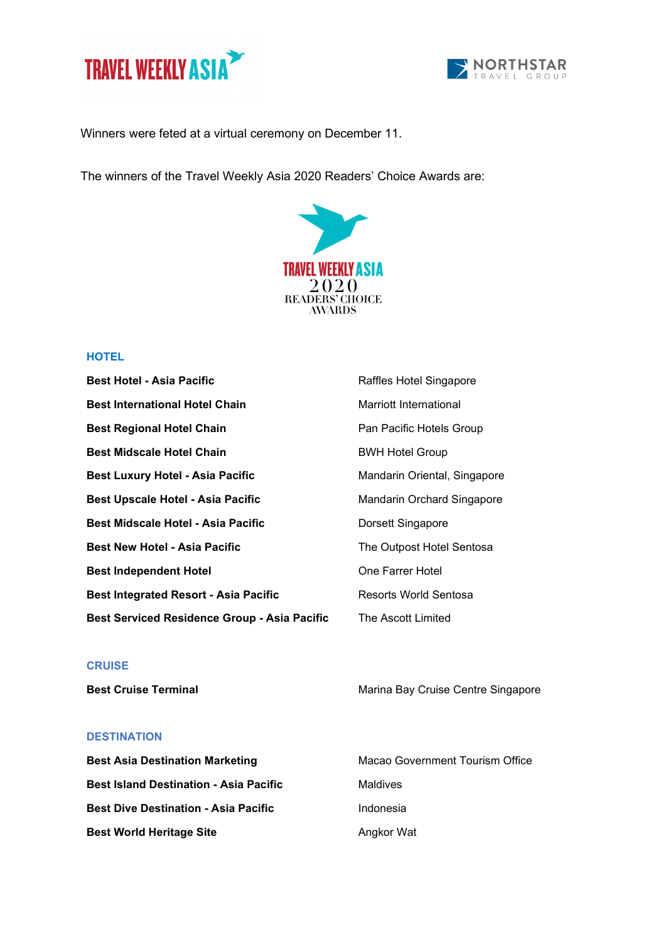



Winners were feted at a virtual ceremony on December 11.

The winners of the Travel Weekly Asia 2020 Readers' Choice Awards are:



## **HOTEL**

| <b>Best Hotel - Asia Pacific</b>                    | Raffles Hotel Singapore      |
|-----------------------------------------------------|------------------------------|
| <b>Best International Hotel Chain</b>               | Marriott International       |
| <b>Best Regional Hotel Chain</b>                    | Pan Pacific Hotels Group     |
| <b>Best Midscale Hotel Chain</b>                    | <b>BWH Hotel Group</b>       |
| <b>Best Luxury Hotel - Asia Pacific</b>             | Mandarin Oriental, Singapore |
| Best Upscale Hotel - Asia Pacific                   | Mandarin Orchard Singapore   |
| Best Midscale Hotel - Asia Pacific                  | Dorsett Singapore            |
| <b>Best New Hotel - Asia Pacific</b>                | The Outpost Hotel Sentosa    |
| <b>Best Independent Hotel</b>                       | One Farrer Hotel             |
| <b>Best Integrated Resort - Asia Pacific</b>        | Resorts World Sentosa        |
| <b>Best Serviced Residence Group - Asia Pacific</b> | The Ascott Limited           |

#### **CRUISE**

**Best Cruise Terminal** Marina Bay Cruise Centre Singapore

#### **DESTINATION**

| <b>Best Asia Destination Marketing</b>        | Macao Government Tourism Office |
|-----------------------------------------------|---------------------------------|
| <b>Best Island Destination - Asia Pacific</b> | Maldives                        |
| <b>Best Dive Destination - Asia Pacific</b>   | Indonesia                       |
| <b>Best World Heritage Site</b>               | Angkor Wat                      |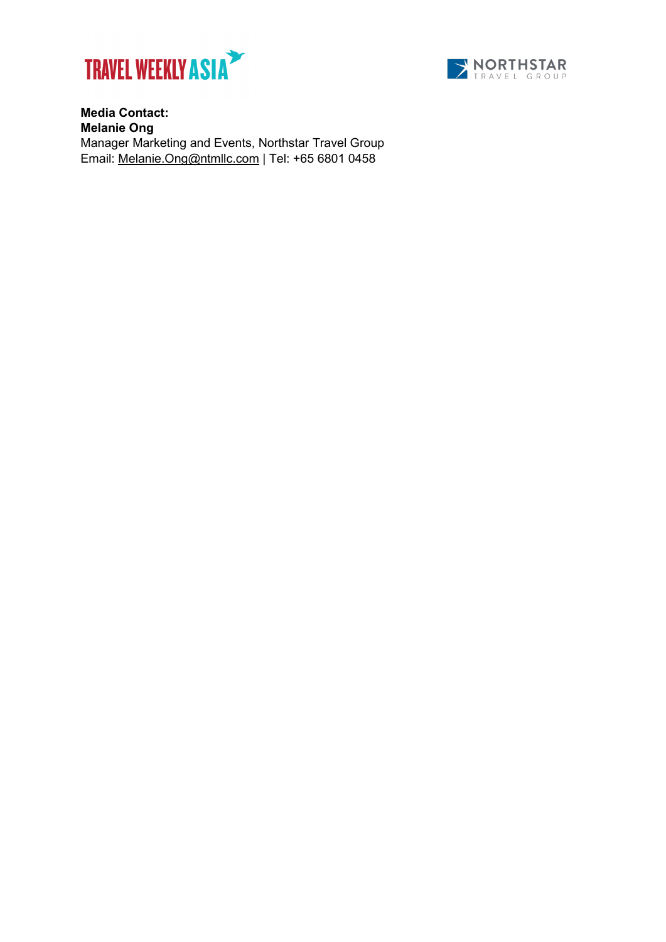



**Media Contact: Melanie Ong** Manager Marketing and Events, Northstar Travel Group Email: [Melanie.Ong@ntmllc.com](mailto:Melanie.Ong@ntmllc.com) | Tel: +65 6801 0458